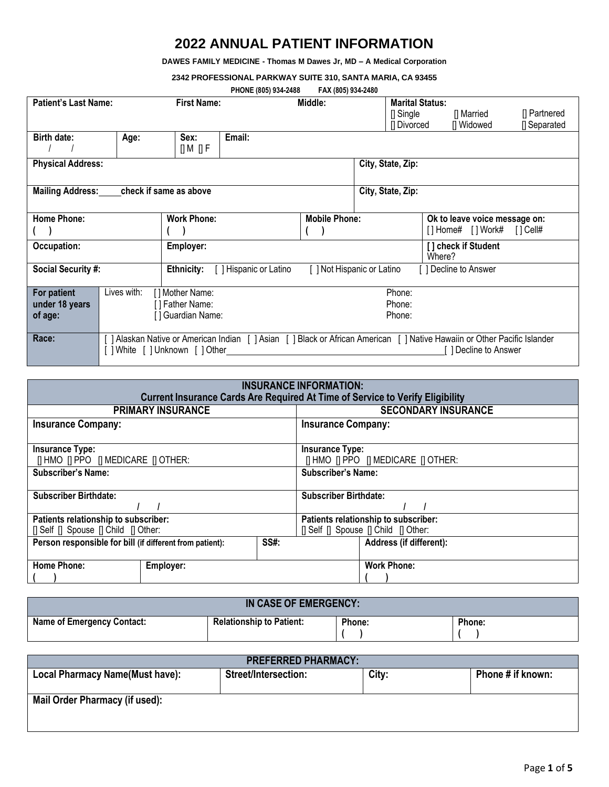## **2022 ANNUAL PATIENT INFORMATION**

**DAWES FAMILY MEDICINE - Thomas M Dawes Jr, MD – A Medical Corporation**

**2342 PROFESSIONAL PARKWAY SUITE 310, SANTA MARIA, CA 93455**

| PHONE (805) 934-2488 | FAX (805) 934-2480 |
|----------------------|--------------------|
|----------------------|--------------------|

| <b>I</b> INVITE ( <i>UVJ)</i> JUT ATUU |                                                                                                                          |                        |                    |                        |  |                        |                               |              |
|----------------------------------------|--------------------------------------------------------------------------------------------------------------------------|------------------------|--------------------|------------------------|--|------------------------|-------------------------------|--------------|
| <b>Patient's Last Name:</b>            |                                                                                                                          | <b>First Name:</b>     |                    | Middle:                |  | <b>Marital Status:</b> |                               |              |
|                                        |                                                                                                                          |                        |                    |                        |  | $\Box$ Single          | [] Married                    | [] Partnered |
|                                        |                                                                                                                          |                        |                    |                        |  | [] Divorced            | [] Widowed                    | [] Separated |
|                                        |                                                                                                                          |                        |                    |                        |  |                        |                               |              |
| <b>Birth date:</b>                     | Age:                                                                                                                     | Sex:                   | Email:             |                        |  |                        |                               |              |
|                                        |                                                                                                                          | [] M [] F              |                    |                        |  |                        |                               |              |
| <b>Physical Address:</b>               |                                                                                                                          |                        |                    |                        |  | City, State, Zip:      |                               |              |
|                                        |                                                                                                                          |                        |                    |                        |  |                        |                               |              |
| <b>Mailing Address:</b>                |                                                                                                                          | check if same as above |                    |                        |  | City, State, Zip:      |                               |              |
|                                        |                                                                                                                          |                        |                    |                        |  |                        |                               |              |
|                                        |                                                                                                                          |                        |                    |                        |  |                        |                               |              |
| <b>Home Phone:</b>                     |                                                                                                                          | <b>Work Phone:</b>     |                    | <b>Mobile Phone:</b>   |  |                        | Ok to leave voice message on: |              |
|                                        |                                                                                                                          |                        |                    |                        |  |                        | [] Home# [] Work# [] Cell#    |              |
| Occupation:                            |                                                                                                                          |                        |                    |                        |  |                        |                               |              |
|                                        | [] check if Student<br>Employer:<br>Where?                                                                               |                        |                    |                        |  |                        |                               |              |
|                                        |                                                                                                                          |                        |                    |                        |  |                        |                               |              |
| <b>Social Security #:</b>              |                                                                                                                          | Ethnicity:             | Hispanic or Latino | Not Hispanic or Latino |  |                        | Decline to Answer             |              |
|                                        |                                                                                                                          |                        |                    |                        |  |                        |                               |              |
| For patient                            | Lives with:                                                                                                              | [] Mother Name:        |                    |                        |  | Phone:                 |                               |              |
| under 18 years                         |                                                                                                                          | [] Father Name:        |                    |                        |  | Phone:                 |                               |              |
| of age:                                |                                                                                                                          | [] Guardian Name:      | Phone:             |                        |  |                        |                               |              |
|                                        |                                                                                                                          |                        |                    |                        |  |                        |                               |              |
| Race:                                  | ] Alaskan Native or American Indian [ ] Asian [ ] Black or African American [ ] Native Hawaiin or Other Pacific Islander |                        |                    |                        |  |                        |                               |              |
|                                        |                                                                                                                          |                        |                    |                        |  |                        |                               |              |
|                                        | [ ] White [ ] Unknown [ ] Other<br>] Decline to Answer                                                                   |                        |                    |                        |  |                        |                               |              |

| <b>INSURANCE INFORMATION:</b><br><b>Current Insurance Cards Are Required At Time of Service to Verify Eligibility</b> |                            |                                                                              |  |  |
|-----------------------------------------------------------------------------------------------------------------------|----------------------------|------------------------------------------------------------------------------|--|--|
| <b>PRIMARY INSURANCE</b>                                                                                              | <b>SECONDARY INSURANCE</b> |                                                                              |  |  |
| <b>Insurance Company:</b>                                                                                             |                            | <b>Insurance Company:</b>                                                    |  |  |
| <b>Insurance Type:</b><br><b>IT HMO IT PPO IT MEDICARE IT OTHER:</b>                                                  |                            | <b>Insurance Type:</b><br>[  HMO    PPO    MEDICARE    OTHER:                |  |  |
| <b>Subscriber's Name:</b>                                                                                             |                            | <b>Subscriber's Name:</b>                                                    |  |  |
| <b>Subscriber Birthdate:</b>                                                                                          |                            | <b>Subscriber Birthdate:</b>                                                 |  |  |
| Patients relationship to subscriber:<br>[] Self [] Spouse [] Child [] Other:                                          |                            | Patients relationship to subscriber:<br>[] Self [] Spouse [] Child [] Other: |  |  |
| Person responsible for bill (if different from patient):                                                              | SS#:                       | Address (if different):                                                      |  |  |
| <b>Home Phone:</b><br>Employer:                                                                                       |                            | <b>Work Phone:</b>                                                           |  |  |

| IN CASE OF EMERGENCY:             |                                 |        |        |  |
|-----------------------------------|---------------------------------|--------|--------|--|
| <b>Name of Emergency Contact:</b> | <b>Relationship to Patient:</b> | Phone: | Phone: |  |

| <b>PREFERRED PHARMACY:</b>             |                      |       |                   |  |  |
|----------------------------------------|----------------------|-------|-------------------|--|--|
| <b>Local Pharmacy Name(Must have):</b> | Street/Intersection: | City: | Phone # if known: |  |  |
|                                        |                      |       |                   |  |  |
| Mail Order Pharmacy (if used):         |                      |       |                   |  |  |
|                                        |                      |       |                   |  |  |
|                                        |                      |       |                   |  |  |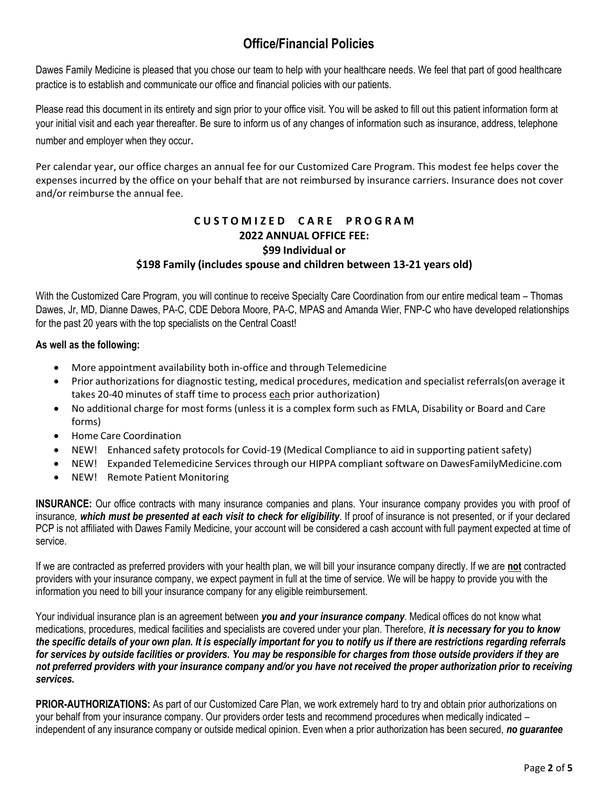# **Office/Financial Policies**

Dawes Family Medicine is pleased that you chose our team to help with your healthcare needs. We feel that part of good healthcare practice is to establish and communicate our office and financial policies with our patients.

Please read this document in its entirety and sign prior to your office visit. You will be asked to fill out this patient information form at your initial visit and each year thereafter. Be sure to inform us of any changes of information such as insurance, address, telephone number and employer when they occur.

Per calendar year, our office charges an annual fee for our Customized Care Program. This modest fee helps cover the expenses incurred by the office on your behalf that are not reimbursed by insurance carriers. Insurance does not cover and/or reimburse the annual fee.

### **C U S T O M I Z E D C A R E P R O G R A M 2022 ANNUAL OFFICE FEE: \$99 Individual or \$198 Family (includes spouse and children between 13-21 years old)**

With the Customized Care Program, you will continue to receive Specialty Care Coordination from our entire medical team – Thomas Dawes, Jr, MD, Dianne Dawes, PA-C, CDE Debora Moore, PA-C, MPAS and Amanda Wier, FNP-C who have developed relationships for the past 20 years with the top specialists on the Central Coast!

#### **As well as the following:**

- More appointment availability both in-office and through Telemedicine
- Prior authorizations for diagnostic testing, medical procedures, medication and specialist referrals(on average it takes 20-40 minutes of staff time to process each prior authorization)
- No additional charge for most forms (unless it is a complex form such as FMLA, Disability or Board and Care forms)
- Home Care Coordination
- NEW! Enhanced safety protocols for Covid-19 (Medical Compliance to aid in supporting patient safety)
- NEW! Expanded Telemedicine Services through our HIPPA compliant software on DawesFamilyMedicine.com
- NEW! Remote Patient Monitoring

**INSURANCE:** Our office contracts with many insurance companies and plans. Your insurance company provides you with proof of insurance*, which must be presented at each visit to check for eligibility*. If proof of insurance is not presented, or if your declared PCP is not affiliated with Dawes Family Medicine, your account will be considered a cash account with full payment expected at time of service.

If we are contracted as preferred providers with your health plan, we will bill your insurance company directly. If we are **not** contracted providers with your insurance company, we expect payment in full at the time of service. We will be happy to provide you with the information you need to bill your insurance company for any eligible reimbursement.

Your individual insurance plan is an agreement between *you and your insurance company*. Medical offices do not know what medications, procedures, medical facilities and specialists are covered under your plan. Therefore, *it is necessary for you to know the specific details of your own plan. It is especially important for you to notify us if there are restrictions regarding referrals for services by outside facilities or providers. You may be responsible for charges from those outside providers if they are not preferred providers with your insurance company and/or you have not received the proper authorization prior to receiving services.*

**PRIOR-AUTHORIZATIONS:** As part of our Customized Care Plan, we work extremely hard to try and obtain prior authorizations on your behalf from your insurance company. Our providers order tests and recommend procedures when medically indicated – independent of any insurance company or outside medical opinion. Even when a prior authorization has been secured, *no guarantee*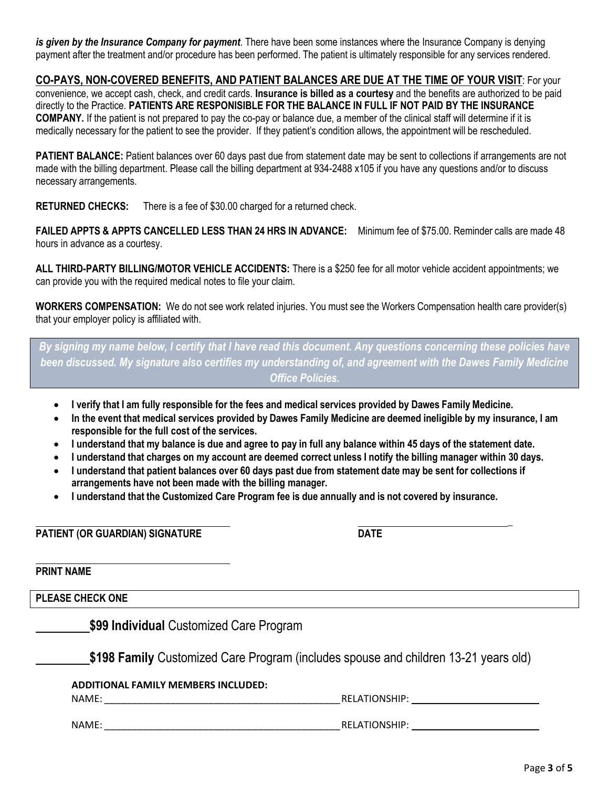*is given by the Insurance Company for payment*. There have been some instances where the Insurance Company is denying payment after the treatment and/or procedure has been performed. The patient is ultimately responsible for any services rendered.

**CO-PAYS, NON-COVERED BENEFITS, AND PATIENT BALANCES ARE DUE AT THE TIME OF YOUR VISIT**: For your

convenience, we accept cash, check, and credit cards. **Insurance is billed as a courtesy** and the benefits are authorized to be paid directly to the Practice. **PATIENTS ARE RESPONISIBLE FOR THE BALANCE IN FULL IF NOT PAID BY THE INSURANCE COMPANY.** If the patient is not prepared to pay the co-pay or balance due, a member of the clinical staff will determine if it is medically necessary for the patient to see the provider. If they patient's condition allows, the appointment will be rescheduled.

**PATIENT BALANCE:** Patient balances over 60 days past due from statement date may be sent to collections if arrangements are not made with the billing department. Please call the billing department at 934-2488 x105 if you have any questions and/or to discuss necessary arrangements.

**RETURNED CHECKS:** There is a fee of \$30.00 charged for a returned check.

**FAILED APPTS & APPTS CANCELLED LESS THAN 24 HRS IN ADVANCE:** Minimum fee of \$75.00. Reminder calls are made 48 hours in advance as a courtesy.

**ALL THIRD-PARTY BILLING/MOTOR VEHICLE ACCIDENTS:** There is a \$250 fee for all motor vehicle accident appointments; we can provide you with the required medical notes to file your claim.

**WORKERS COMPENSATION:** We do not see work related injuries. You must see the Workers Compensation health care provider(s) that your employer policy is affiliated with.

*By signing my name below, I certify that I have read this document. Any questions concerning these policies have been discussed. My signature also certifies my understanding of, and agreement with the Dawes Family Medicine Office Policies.*

- **I verify that I am fully responsible for the fees and medical services provided by Dawes Family Medicine.**
- **In the event that medical services provided by Dawes Family Medicine are deemed ineligible by my insurance, I am responsible for the full cost of the services.**
- I understand that my balance is due and agree to pay in full any balance within 45 days of the statement date.
- **I understand that charges on my account are deemed correct unless I notify the billing manager within 30 days.**
- I understand that patient balances over 60 days past due from statement date may be sent for collections if **arrangements have not been made with the billing manager.**
- **I understand that the Customized Care Program fee is due annually and is not covered by insurance.**

**PATIENT (OR GUARDIAN) SIGNATURE DATE**

**PRINT NAME**

**PLEASE CHECK ONE**

**\$99 Individual** Customized Care Program

**\$198 Family** Customized Care Program (includes spouse and children 13-21 years old)

#### **ADDITIONAL FAMILY MEMBERS INCLUDED:**

NAME: NAME: www.watcher.com/distributed/watcher.com/distributed/watcher.com/distributed/watcher.com/

NAME: \_\_\_\_\_\_\_\_\_\_\_\_\_\_\_\_\_\_\_\_\_\_\_\_\_\_\_\_\_\_\_\_\_\_\_\_\_\_\_\_\_\_\_RELATIONSHIP:

**\_**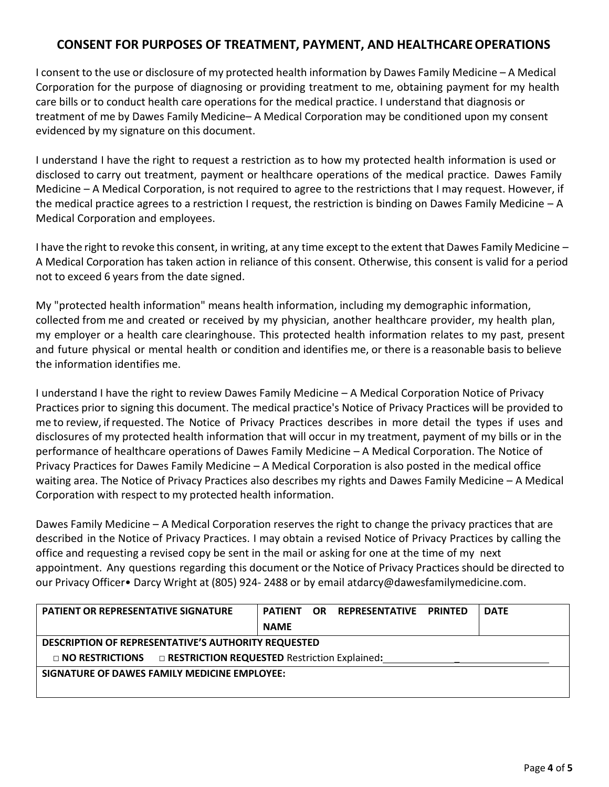### **CONSENT FOR PURPOSES OF TREATMENT, PAYMENT, AND HEALTHCAREOPERATIONS**

I consent to the use or disclosure of my protected health information by Dawes Family Medicine – A Medical Corporation for the purpose of diagnosing or providing treatment to me, obtaining payment for my health care bills or to conduct health care operations for the medical practice. I understand that diagnosis or treatment of me by Dawes Family Medicine– A Medical Corporation may be conditioned upon my consent evidenced by my signature on this document.

I understand I have the right to request a restriction as to how my protected health information is used or disclosed to carry out treatment, payment or healthcare operations of the medical practice. Dawes Family Medicine – A Medical Corporation, is not required to agree to the restrictions that I may request. However, if the medical practice agrees to a restriction I request, the restriction is binding on Dawes Family Medicine – A Medical Corporation and employees.

I have the right to revoke this consent, in writing, at any time except to the extent that Dawes Family Medicine  $-$ A Medical Corporation has taken action in reliance of this consent. Otherwise, this consent is valid for a period not to exceed 6 years from the date signed.

My "protected health information" means health information, including my demographic information, collected from me and created or received by my physician, another healthcare provider, my health plan, my employer or a health care clearinghouse. This protected health information relates to my past, present and future physical or mental health or condition and identifies me, or there is a reasonable basis to believe the information identifies me.

I understand I have the right to review Dawes Family Medicine – A Medical Corporation Notice of Privacy Practices prior to signing this document. The medical practice's Notice of Privacy Practices will be provided to me to review, if requested. The Notice of Privacy Practices describes in more detail the types if uses and disclosures of my protected health information that will occur in my treatment, payment of my bills or in the performance of healthcare operations of Dawes Family Medicine – A Medical Corporation. The Notice of Privacy Practices for Dawes Family Medicine – A Medical Corporation is also posted in the medical office waiting area. The Notice of Privacy Practices also describes my rights and Dawes Family Medicine – A Medical Corporation with respect to my protected health information.

Dawes Family Medicine – A Medical Corporation reserves the right to change the privacy practices that are described in the Notice of Privacy Practices. I may obtain a revised Notice of Privacy Practices by calling the office and requesting a revised copy be sent in the mail or asking for one at the time of my next appointment. Any questions regarding this document or the Notice of Privacy Practices should be directed to our Privacy Officer• Darcy Wright at (805) 924- 2488 or by email a[tdarcy@dawesfamilymedicine.com.](mailto:darcy@dawesfamilymedicine.com)

| <b>PATIENT OR REPRESENTATIVE SIGNATURE</b>                                 | <b>PATIENT</b> | OR. | REPRESENTATIVE PRINTED |  | <b>DATE</b> |
|----------------------------------------------------------------------------|----------------|-----|------------------------|--|-------------|
|                                                                            | <b>NAME</b>    |     |                        |  |             |
| DESCRIPTION OF REPRESENTATIVE'S AUTHORITY REQUESTED                        |                |     |                        |  |             |
| $\Box$ NO RESTRICTIONS $\Box$ RESTRICTION REQUESTED Restriction Explained: |                |     |                        |  |             |
| SIGNATURE OF DAWES FAMILY MEDICINE EMPLOYEE:                               |                |     |                        |  |             |
|                                                                            |                |     |                        |  |             |